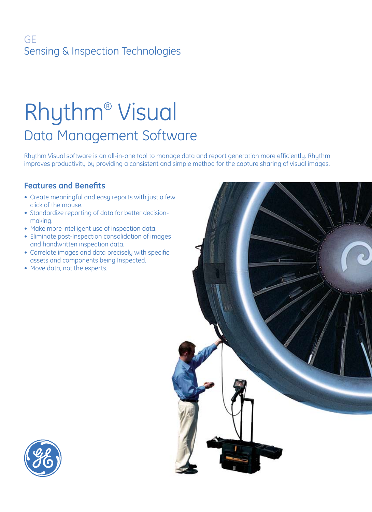## GE Sensing & Inspection Technologies

# Rhythm® Visual Data Management Software

Rhythm Visual software is an all-in-one tool to manage data and report generation more efficiently. Rhythm improves productivity by providing a consistent and simple method for the capture sharing of visual images.

## **Features and Benefits**

- Create meaningful and easy reports with just a few click of the mouse.
- Standardize reporting of data for better decisionmaking.
- Make more intelligent use of inspection data.
- Eliminate post-Inspection consolidation of images and handwritten inspection data.
- Correlate images and data precisely with specific assets and components being Inspected.
- Move data, not the experts.